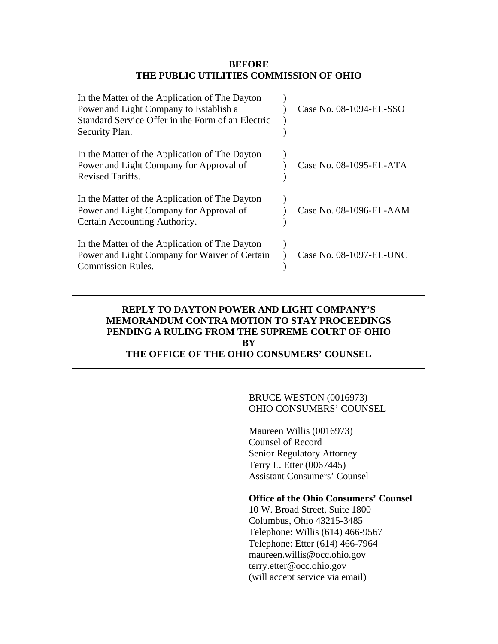#### **BEFORE THE PUBLIC UTILITIES COMMISSION OF OHIO**

| In the Matter of the Application of The Dayton<br>Power and Light Company to Establish a<br>Standard Service Offer in the Form of an Electric<br>Security Plan. | Case No. 08-1094-EL-SSO |
|-----------------------------------------------------------------------------------------------------------------------------------------------------------------|-------------------------|
| In the Matter of the Application of The Dayton<br>Power and Light Company for Approval of<br><b>Revised Tariffs.</b>                                            | Case No. 08-1095-EL-ATA |
| In the Matter of the Application of The Dayton<br>Power and Light Company for Approval of<br>Certain Accounting Authority.                                      | Case No. 08-1096-EL-AAM |
| In the Matter of the Application of The Dayton<br>Power and Light Company for Waiver of Certain<br><b>Commission Rules.</b>                                     | Case No. 08-1097-EL-UNC |

# **REPLY TO DAYTON POWER AND LIGHT COMPANY'S MEMORANDUM CONTRA MOTION TO STAY PROCEEDINGS PENDING A RULING FROM THE SUPREME COURT OF OHIO BY THE OFFICE OF THE OHIO CONSUMERS' COUNSEL**

# BRUCE WESTON (0016973) OHIO CONSUMERS' COUNSEL

 Maureen Willis (0016973) Counsel of Record Senior Regulatory Attorney Terry L. Etter (0067445) Assistant Consumers' Counsel

#### **Office of the Ohio Consumers' Counsel**

 10 W. Broad Street, Suite 1800 Columbus, Ohio 43215-3485 Telephone: Willis (614) 466-9567 Telephone: Etter (614) 466-7964 maureen.willis@occ.ohio.gov terry.etter@occ.ohio.gov (will accept service via email)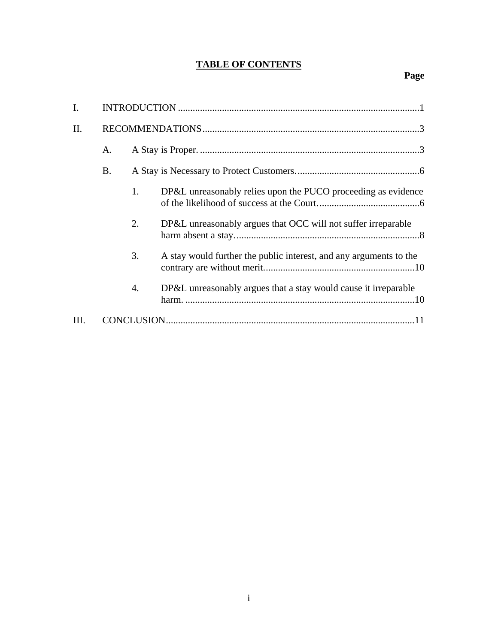# **TABLE OF CONTENTS**

| $\mathbf{I}$ . |    |    |                                                                    |
|----------------|----|----|--------------------------------------------------------------------|
| II.            |    |    |                                                                    |
|                | A. |    |                                                                    |
|                | B. |    |                                                                    |
|                |    | 1. | DP&L unreasonably relies upon the PUCO proceeding as evidence      |
|                |    | 2. | DP&L unreasonably argues that OCC will not suffer irreparable      |
|                |    | 3. | A stay would further the public interest, and any arguments to the |
|                |    | 4. | DP&L unreasonably argues that a stay would cause it irreparable    |
| III.           |    |    |                                                                    |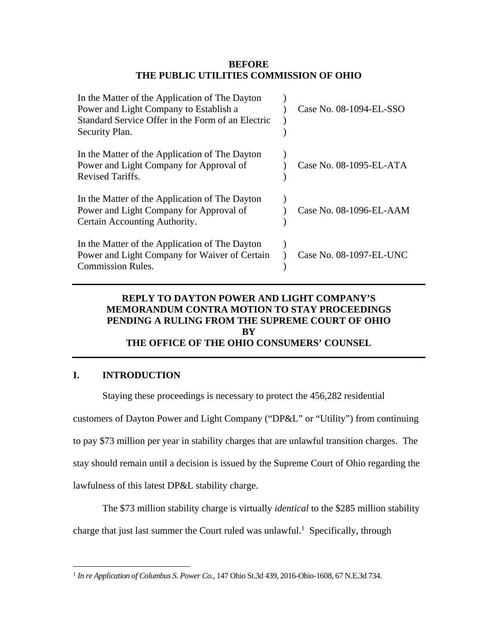#### **BEFORE THE PUBLIC UTILITIES COMMISSION OF OHIO**

| In the Matter of the Application of The Dayton<br>Power and Light Company to Establish a<br>Standard Service Offer in the Form of an Electric<br>Security Plan. | Case No. 08-1094-EL-SSO |
|-----------------------------------------------------------------------------------------------------------------------------------------------------------------|-------------------------|
| In the Matter of the Application of The Dayton<br>Power and Light Company for Approval of<br>Revised Tariffs.                                                   | Case No. 08-1095-EL-ATA |
| In the Matter of the Application of The Dayton<br>Power and Light Company for Approval of<br>Certain Accounting Authority.                                      | Case No. 08-1096-EL-AAM |
| In the Matter of the Application of The Dayton<br>Power and Light Company for Waiver of Certain<br><b>Commission Rules.</b>                                     | Case No. 08-1097-EL-UNC |

# **REPLY TO DAYTON POWER AND LIGHT COMPANY'S MEMORANDUM CONTRA MOTION TO STAY PROCEEDINGS PENDING A RULING FROM THE SUPREME COURT OF OHIO BY THE OFFICE OF THE OHIO CONSUMERS' COUNSEL**

# **I. INTRODUCTION**

<u>.</u>

Staying these proceedings is necessary to protect the 456,282 residential

customers of Dayton Power and Light Company ("DP&L" or "Utility") from continuing

to pay \$73 million per year in stability charges that are unlawful transition charges. The

stay should remain until a decision is issued by the Supreme Court of Ohio regarding the

lawfulness of this latest DP&L stability charge.

The \$73 million stability charge is virtually *identical* to the \$285 million stability

charge that just last summer the Court ruled was unlawful.<sup>1</sup> Specifically, through

<sup>1</sup>  *In re Application of Columbus S. Power Co.*, 147 Ohio St.3d 439, 2016-Ohio-1608, 67 N.E.3d 734.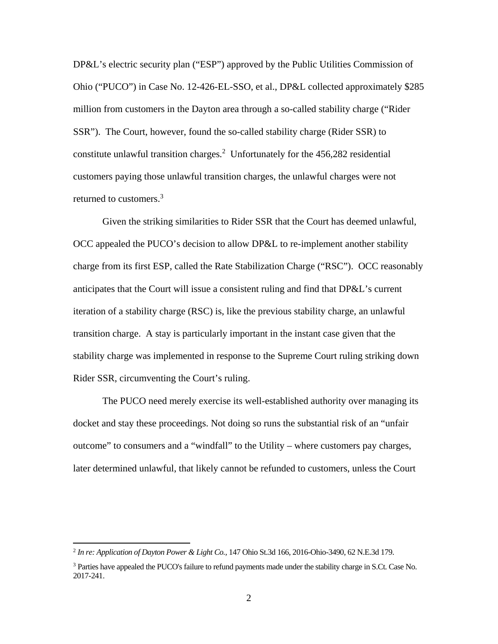DP&L's electric security plan ("ESP") approved by the Public Utilities Commission of Ohio ("PUCO") in Case No. 12-426-EL-SSO, et al., DP&L collected approximately \$285 million from customers in the Dayton area through a so-called stability charge ("Rider SSR"). The Court, however, found the so-called stability charge (Rider SSR) to constitute unlawful transition charges*.* 2 Unfortunately for the 456,282 residential customers paying those unlawful transition charges, the unlawful charges were not returned to customers.<sup>3</sup>

Given the striking similarities to Rider SSR that the Court has deemed unlawful, OCC appealed the PUCO's decision to allow DP&L to re-implement another stability charge from its first ESP, called the Rate Stabilization Charge ("RSC"). OCC reasonably anticipates that the Court will issue a consistent ruling and find that DP&L's current iteration of a stability charge (RSC) is, like the previous stability charge, an unlawful transition charge. A stay is particularly important in the instant case given that the stability charge was implemented in response to the Supreme Court ruling striking down Rider SSR, circumventing the Court's ruling.

 The PUCO need merely exercise its well-established authority over managing its docket and stay these proceedings. Not doing so runs the substantial risk of an "unfair outcome" to consumers and a "windfall" to the Utility – where customers pay charges, later determined unlawful, that likely cannot be refunded to customers, unless the Court

<sup>2</sup>  *In re: Application of Dayton Power & Light Co.,* 147 Ohio St.3d 166, 2016-Ohio-3490, 62 N.E.3d 179.

<sup>&</sup>lt;sup>3</sup> Parties have appealed the PUCO's failure to refund payments made under the stability charge in S.Ct. Case No. 2017-241.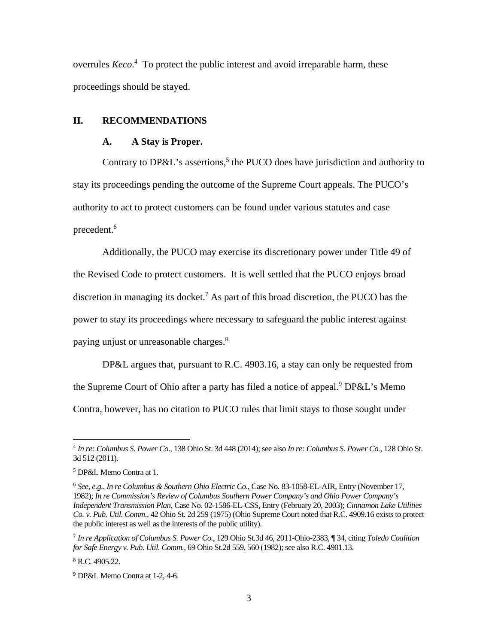overrules *Keco*.<sup>4</sup> To protect the public interest and avoid irreparable harm, these proceedings should be stayed.

## **II. RECOMMENDATIONS**

#### **A. A Stay is Proper.**

Contrary to  $DP&L$ 's assertions,<sup>5</sup> the PUCO does have jurisdiction and authority to stay its proceedings pending the outcome of the Supreme Court appeals. The PUCO's authority to act to protect customers can be found under various statutes and case precedent.<sup>6</sup>

Additionally, the PUCO may exercise its discretionary power under Title 49 of the Revised Code to protect customers. It is well settled that the PUCO enjoys broad discretion in managing its docket.<sup>7</sup> As part of this broad discretion, the PUCO has the power to stay its proceedings where necessary to safeguard the public interest against paying unjust or unreasonable charges.8

DP&L argues that, pursuant to R.C. 4903.16, a stay can only be requested from the Supreme Court of Ohio after a party has filed a notice of appeal.<sup>9</sup> DP&L's Memo Contra, however, has no citation to PUCO rules that limit stays to those sought under

<sup>4</sup>  *In re: Columbus S. Power Co.*, 138 Ohio St. 3d 448 (2014); see also *In re: Columbus S. Power Co.*, 128 Ohio St. 3d 512 (2011).

<sup>5</sup> DP&L Memo Contra at 1.

<sup>6</sup> *See, e.g.*, *In re Columbus & Southern Ohio Electric Co*., Case No. 83-1058-EL-AIR, Entry (November 17, 1982); *In re Commission's Review of Columbus Southern Power Company's and Ohio Power Company's Independent Transmission Plan*, Case No. 02-1586-EL-CSS, Entry (February 20, 2003); *Cinnamon Lake Utilities Co. v. Pub. Util. Comm*., 42 Ohio St. 2d 259 (1975) (Ohio Supreme Court noted that R.C. 4909.16 exists to protect the public interest as well as the interests of the public utility).

<sup>7</sup>  *In re Application of Columbus S. Power Co.*, 129 Ohio St.3d 46, 2011-Ohio-2383, ¶ 34, citing *Toledo Coalition for Safe Energy v. Pub. Util. Comm.*, 69 Ohio St.2d 559, 560 (1982); see also R.C. 4901.13.

<sup>8</sup> R.C. 4905.22.

<sup>9</sup> DP&L Memo Contra at 1-2, 4-6.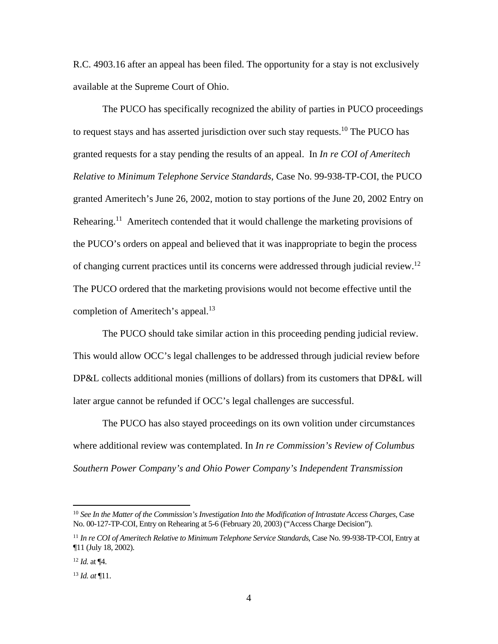R.C. 4903.16 after an appeal has been filed. The opportunity for a stay is not exclusively available at the Supreme Court of Ohio.

The PUCO has specifically recognized the ability of parties in PUCO proceedings to request stays and has asserted jurisdiction over such stay requests.<sup>10</sup> The PUCO has granted requests for a stay pending the results of an appeal. In *In re COI of Ameritech Relative to Minimum Telephone Service Standards*, Case No. 99-938-TP-COI, the PUCO granted Ameritech's June 26, 2002, motion to stay portions of the June 20, 2002 Entry on Rehearing.<sup>11</sup> Ameritech contended that it would challenge the marketing provisions of the PUCO's orders on appeal and believed that it was inappropriate to begin the process of changing current practices until its concerns were addressed through judicial review.12 The PUCO ordered that the marketing provisions would not become effective until the completion of Ameritech's appeal.<sup>13</sup>

The PUCO should take similar action in this proceeding pending judicial review. This would allow OCC's legal challenges to be addressed through judicial review before DP&L collects additional monies (millions of dollars) from its customers that DP&L will later argue cannot be refunded if OCC's legal challenges are successful.

The PUCO has also stayed proceedings on its own volition under circumstances where additional review was contemplated. In *In re Commission's Review of Columbus Southern Power Company's and Ohio Power Company's Independent Transmission* 

<sup>10</sup> *See In the Matter of the Commission's Investigation Into the Modification of Intrastate Access Charges*, Case No. 00-127-TP-COI, Entry on Rehearing at 5-6 (February 20, 2003) ("Access Charge Decision").

<sup>11</sup> *In re COI of Ameritech Relative to Minimum Telephone Service Standards*, Case No. 99-938-TP-COI, Entry at ¶11 (July 18, 2002).

<sup>12</sup> *Id.* at ¶4.

<sup>13</sup> *Id. at* ¶11.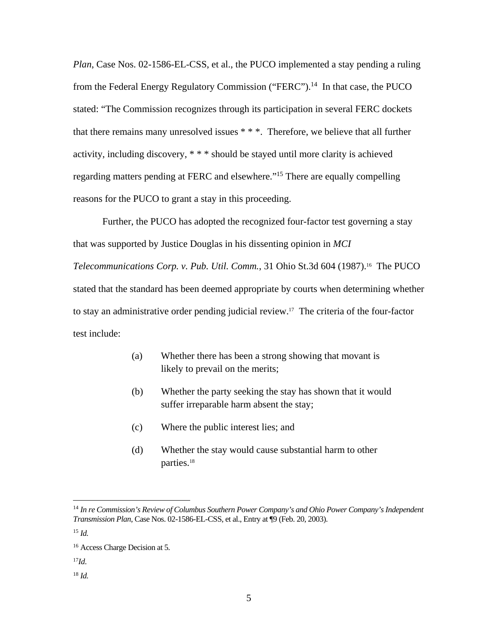*Plan*, Case Nos. 02-1586-EL-CSS, et al., the PUCO implemented a stay pending a ruling from the Federal Energy Regulatory Commission ("FERC").<sup>14</sup> In that case, the PUCO stated: "The Commission recognizes through its participation in several FERC dockets that there remains many unresolved issues \* \* \*. Therefore, we believe that all further activity, including discovery, \* \* \* should be stayed until more clarity is achieved regarding matters pending at FERC and elsewhere."15 There are equally compelling reasons for the PUCO to grant a stay in this proceeding.

Further, the PUCO has adopted the recognized four-factor test governing a stay that was supported by Justice Douglas in his dissenting opinion in *MCI Telecommunications Corp. v. Pub. Util. Comm.*, 31 Ohio St.3d 604 (1987).16 The PUCO stated that the standard has been deemed appropriate by courts when determining whether to stay an administrative order pending judicial review.17 The criteria of the four-factor test include:

- (a) Whether there has been a strong showing that movant is likely to prevail on the merits;
- (b) Whether the party seeking the stay has shown that it would suffer irreparable harm absent the stay;
- (c) Where the public interest lies; and
- (d) Whether the stay would cause substantial harm to other parties.18

 $\overline{a}$ 

18 *Id.*

<sup>14</sup> *In re Commission's Review of Columbus Southern Power Company's and Ohio Power Company's Independent Transmission Plan*, Case Nos. 02-1586-EL-CSS, et al., Entry at ¶9 (Feb. 20, 2003).

<sup>15</sup> *Id.* 

<sup>16</sup> Access Charge Decision at 5*.*

<sup>17</sup>*Id*.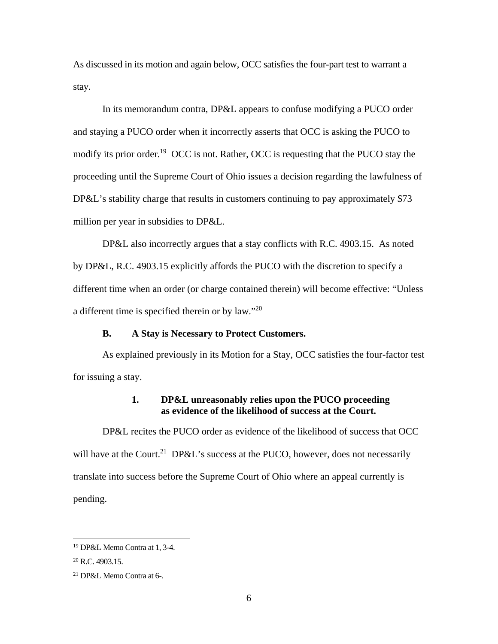As discussed in its motion and again below, OCC satisfies the four-part test to warrant a stay.

In its memorandum contra, DP&L appears to confuse modifying a PUCO order and staying a PUCO order when it incorrectly asserts that OCC is asking the PUCO to modify its prior order.<sup>19</sup> OCC is not. Rather, OCC is requesting that the PUCO stay the proceeding until the Supreme Court of Ohio issues a decision regarding the lawfulness of DP&L's stability charge that results in customers continuing to pay approximately \$73 million per year in subsidies to DP&L.

DP&L also incorrectly argues that a stay conflicts with R.C. 4903.15. As noted by DP&L, R.C. 4903.15 explicitly affords the PUCO with the discretion to specify a different time when an order (or charge contained therein) will become effective: "Unless a different time is specified therein or by law."20

#### **B. A Stay is Necessary to Protect Customers.**

As explained previously in its Motion for a Stay, OCC satisfies the four-factor test for issuing a stay.

# **1. DP&L unreasonably relies upon the PUCO proceeding as evidence of the likelihood of success at the Court.**

DP&L recites the PUCO order as evidence of the likelihood of success that OCC will have at the Court.<sup>21</sup> DP&L's success at the PUCO, however, does not necessarily translate into success before the Supreme Court of Ohio where an appeal currently is pending.

<sup>19</sup> DP&L Memo Contra at 1, 3-4.

<sup>&</sup>lt;sup>20</sup> R.C. 4903.15.

<sup>21</sup> DP&L Memo Contra at 6-.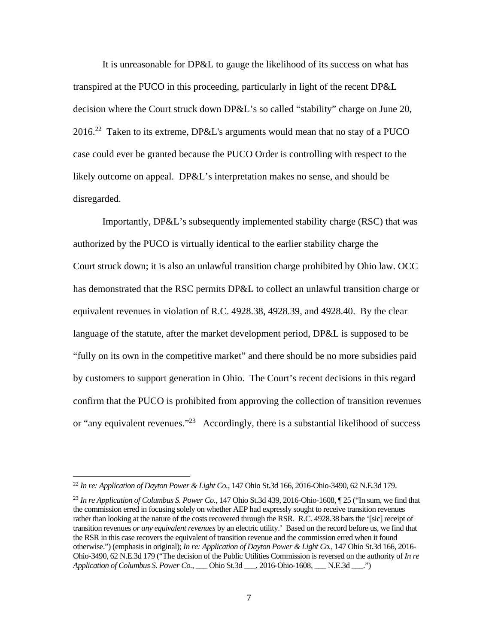It is unreasonable for DP&L to gauge the likelihood of its success on what has transpired at the PUCO in this proceeding, particularly in light of the recent DP&L decision where the Court struck down DP&L's so called "stability" charge on June 20,  $2016.<sup>22</sup>$  Taken to its extreme, DP&L's arguments would mean that no stay of a PUCO case could ever be granted because the PUCO Order is controlling with respect to the likely outcome on appeal. DP&L's interpretation makes no sense, and should be disregarded.

Importantly, DP&L's subsequently implemented stability charge (RSC) that was authorized by the PUCO is virtually identical to the earlier stability charge the Court struck down; it is also an unlawful transition charge prohibited by Ohio law. OCC has demonstrated that the RSC permits DP&L to collect an unlawful transition charge or equivalent revenues in violation of R.C. 4928.38, 4928.39, and 4928.40. By the clear language of the statute, after the market development period, DP&L is supposed to be "fully on its own in the competitive market" and there should be no more subsidies paid by customers to support generation in Ohio. The Court's recent decisions in this regard confirm that the PUCO is prohibited from approving the collection of transition revenues or "any equivalent revenues."<sup>23</sup> Accordingly, there is a substantial likelihood of success

<sup>22</sup> *In re: Application of Dayton Power & Light Co.,* 147 Ohio St.3d 166, 2016-Ohio-3490, 62 N.E.3d 179.

<sup>23</sup> *In re Application of Columbus S. Power Co.*, 147 Ohio St.3d 439, 2016-Ohio-1608, ¶ 25 ("In sum, we find that the commission erred in focusing solely on whether AEP had expressly sought to receive transition revenues rather than looking at the nature of the costs recovered through the RSR. R.C. 4928.38 bars the '[sic] receipt of transition revenues *or any equivalent revenues* by an electric utility.' Based on the record before us, we find that the RSR in this case recovers the equivalent of transition revenue and the commission erred when it found otherwise.") (emphasis in original); *In re: Application of Dayton Power & Light Co.,* 147 Ohio St.3d 166, 2016- Ohio-3490, 62 N.E.3d 179 ("The decision of the Public Utilities Commission is reversed on the authority of *In re Application of Columbus S. Power Co.*, \_\_\_ Ohio St.3d \_\_\_, 2016-Ohio-1608, \_\_\_ N.E.3d \_\_\_.")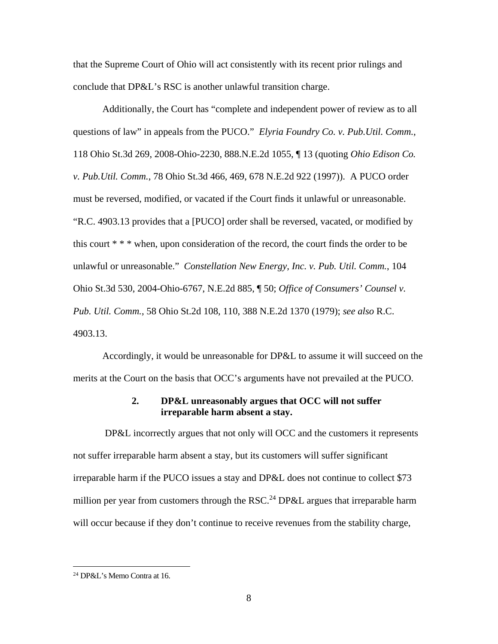that the Supreme Court of Ohio will act consistently with its recent prior rulings and conclude that DP&L's RSC is another unlawful transition charge.

Additionally, the Court has "complete and independent power of review as to all questions of law" in appeals from the PUCO." *Elyria Foundry Co. v. Pub.Util. Comm.*, 118 Ohio St.3d 269, 2008-Ohio-2230, 888.N.E.2d 1055, ¶ 13 (quoting *Ohio Edison Co. v. Pub.Util. Comm.*, 78 Ohio St.3d 466, 469, 678 N.E.2d 922 (1997)). A PUCO order must be reversed, modified, or vacated if the Court finds it unlawful or unreasonable. "R.C. 4903.13 provides that a [PUCO] order shall be reversed, vacated, or modified by this court \* \* \* when, upon consideration of the record, the court finds the order to be unlawful or unreasonable." *Constellation New Energy, Inc. v. Pub. Util. Comm.*, 104 Ohio St.3d 530, 2004-Ohio-6767, N.E.2d 885, ¶ 50; *Office of Consumers' Counsel v. Pub. Util. Comm.*, 58 Ohio St.2d 108, 110, 388 N.E.2d 1370 (1979); *see also* R.C. 4903.13.

Accordingly, it would be unreasonable for DP&L to assume it will succeed on the merits at the Court on the basis that OCC's arguments have not prevailed at the PUCO.

#### **2. DP&L unreasonably argues that OCC will not suffer irreparable harm absent a stay.**

 DP&L incorrectly argues that not only will OCC and the customers it represents not suffer irreparable harm absent a stay, but its customers will suffer significant irreparable harm if the PUCO issues a stay and DP&L does not continue to collect \$73 million per year from customers through the RSC.<sup>24</sup> DP&L argues that irreparable harm will occur because if they don't continue to receive revenues from the stability charge,

<u>.</u>

<sup>24</sup> DP&L's Memo Contra at 16.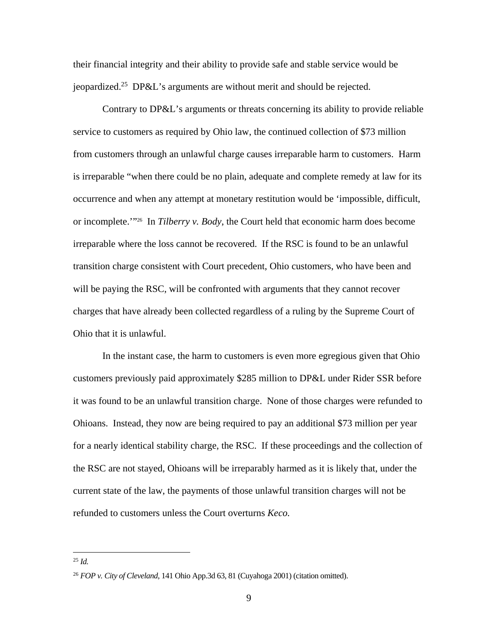their financial integrity and their ability to provide safe and stable service would be jeopardized.<sup>25</sup> DP&L's arguments are without merit and should be rejected.

Contrary to DP&L's arguments or threats concerning its ability to provide reliable service to customers as required by Ohio law, the continued collection of \$73 million from customers through an unlawful charge causes irreparable harm to customers. Harm is irreparable "when there could be no plain, adequate and complete remedy at law for its occurrence and when any attempt at monetary restitution would be 'impossible, difficult, or incomplete.'"26 In *Tilberry v. Body*, the Court held that economic harm does become irreparable where the loss cannot be recovered. If the RSC is found to be an unlawful transition charge consistent with Court precedent, Ohio customers, who have been and will be paying the RSC, will be confronted with arguments that they cannot recover charges that have already been collected regardless of a ruling by the Supreme Court of Ohio that it is unlawful.

In the instant case, the harm to customers is even more egregious given that Ohio customers previously paid approximately \$285 million to DP&L under Rider SSR before it was found to be an unlawful transition charge. None of those charges were refunded to Ohioans. Instead, they now are being required to pay an additional \$73 million per year for a nearly identical stability charge, the RSC. If these proceedings and the collection of the RSC are not stayed, Ohioans will be irreparably harmed as it is likely that, under the current state of the law, the payments of those unlawful transition charges will not be refunded to customers unless the Court overturns *Keco.*

<sup>25</sup> *Id.*

<sup>26</sup> *FOP v. City of Cleveland*, 141 Ohio App.3d 63, 81 (Cuyahoga 2001) (citation omitted).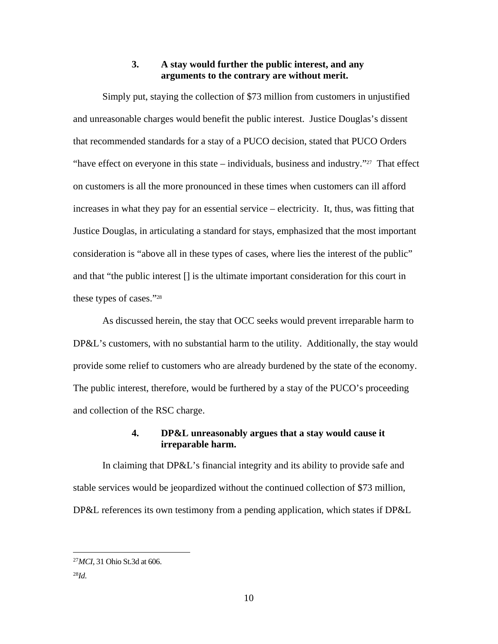### **3. A stay would further the public interest, and any arguments to the contrary are without merit.**

Simply put, staying the collection of \$73 million from customers in unjustified and unreasonable charges would benefit the public interest. Justice Douglas's dissent that recommended standards for a stay of a PUCO decision, stated that PUCO Orders "have effect on everyone in this state – individuals, business and industry."<sup>27</sup> That effect on customers is all the more pronounced in these times when customers can ill afford increases in what they pay for an essential service – electricity. It, thus, was fitting that Justice Douglas, in articulating a standard for stays, emphasized that the most important consideration is "above all in these types of cases, where lies the interest of the public" and that "the public interest [] is the ultimate important consideration for this court in these types of cases."28

As discussed herein, the stay that OCC seeks would prevent irreparable harm to DP&L's customers, with no substantial harm to the utility. Additionally, the stay would provide some relief to customers who are already burdened by the state of the economy. The public interest, therefore, would be furthered by a stay of the PUCO's proceeding and collection of the RSC charge.

# **4. DP&L unreasonably argues that a stay would cause it irreparable harm.**

In claiming that DP&L's financial integrity and its ability to provide safe and stable services would be jeopardized without the continued collection of \$73 million, DP&L references its own testimony from a pending application, which states if DP&L

<sup>27</sup>*MCI*, 31 Ohio St.3d at 606.

<sup>28</sup>*Id*.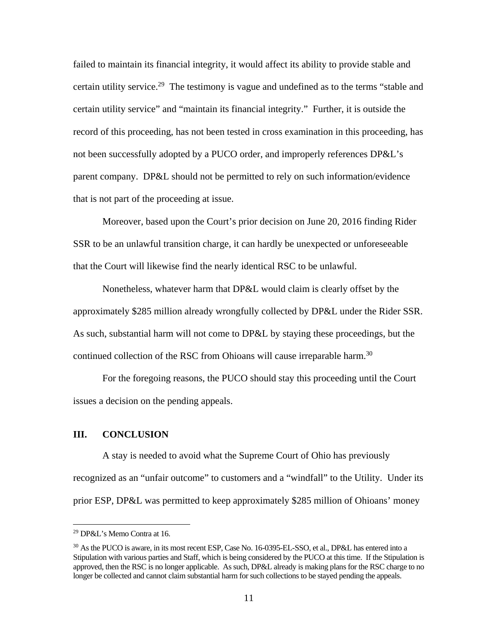failed to maintain its financial integrity, it would affect its ability to provide stable and certain utility service.<sup>29</sup> The testimony is vague and undefined as to the terms "stable and certain utility service" and "maintain its financial integrity." Further, it is outside the record of this proceeding, has not been tested in cross examination in this proceeding, has not been successfully adopted by a PUCO order, and improperly references DP&L's parent company. DP&L should not be permitted to rely on such information/evidence that is not part of the proceeding at issue.

Moreover, based upon the Court's prior decision on June 20, 2016 finding Rider SSR to be an unlawful transition charge, it can hardly be unexpected or unforeseeable that the Court will likewise find the nearly identical RSC to be unlawful.

Nonetheless, whatever harm that DP&L would claim is clearly offset by the approximately \$285 million already wrongfully collected by DP&L under the Rider SSR. As such, substantial harm will not come to DP&L by staying these proceedings, but the continued collection of the RSC from Ohioans will cause irreparable harm.<sup>30</sup>

For the foregoing reasons, the PUCO should stay this proceeding until the Court issues a decision on the pending appeals.

## **III. CONCLUSION**

A stay is needed to avoid what the Supreme Court of Ohio has previously recognized as an "unfair outcome" to customers and a "windfall" to the Utility. Under its prior ESP, DP&L was permitted to keep approximately \$285 million of Ohioans' money

1

<sup>29</sup> DP&L's Memo Contra at 16.

<sup>&</sup>lt;sup>30</sup> As the PUCO is aware, in its most recent ESP, Case No. 16-0395-EL-SSO, et al., DP&L has entered into a Stipulation with various parties and Staff, which is being considered by the PUCO at this time. If the Stipulation is approved, then the RSC is no longer applicable. As such, DP&L already is making plans for the RSC charge to no longer be collected and cannot claim substantial harm for such collections to be stayed pending the appeals.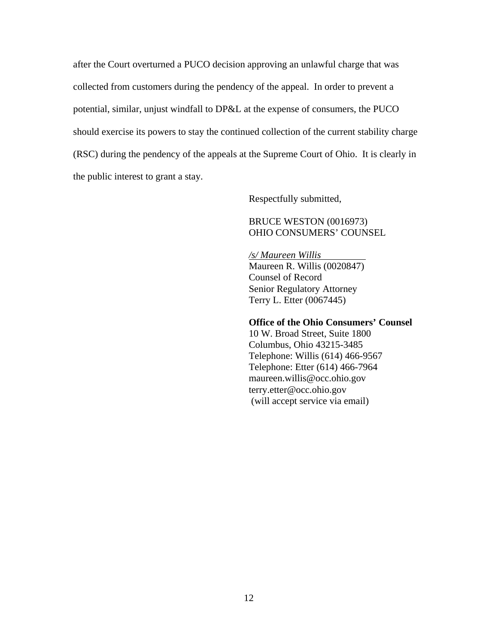after the Court overturned a PUCO decision approving an unlawful charge that was collected from customers during the pendency of the appeal. In order to prevent a potential, similar, unjust windfall to DP&L at the expense of consumers, the PUCO should exercise its powers to stay the continued collection of the current stability charge (RSC) during the pendency of the appeals at the Supreme Court of Ohio. It is clearly in the public interest to grant a stay.

Respectfully submitted,

 BRUCE WESTON (0016973) OHIO CONSUMERS' COUNSEL

 */s/ Maureen Willis*  Maureen R. Willis (0020847) Counsel of Record Senior Regulatory Attorney Terry L. Etter (0067445)

#### **Office of the Ohio Consumers' Counsel**

 10 W. Broad Street, Suite 1800 Columbus, Ohio 43215-3485 Telephone: Willis (614) 466-9567 Telephone: Etter (614) 466-7964 maureen.willis@occ.ohio.gov terry.etter@occ.ohio.gov (will accept service via email)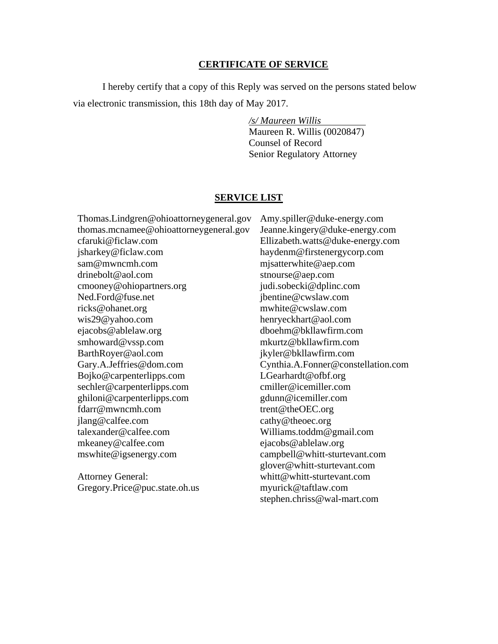#### **CERTIFICATE OF SERVICE**

I hereby certify that a copy of this Reply was served on the persons stated below via electronic transmission, this 18th day of May 2017.

> */s/ Maureen Willis*  Maureen R. Willis (0020847) Counsel of Record Senior Regulatory Attorney

#### **SERVICE LIST**

Thomas.Lindgren@ohioattorneygeneral.gov thomas.mcnamee@ohioattorneygeneral.gov cfaruki@ficlaw.com jsharkey@ficlaw.com sam@mwncmh.com drinebolt@aol.com cmooney@ohiopartners.org Ned.Ford@fuse.net ricks@ohanet.org wis29@yahoo.com ejacobs@ablelaw.org smhoward@vssp.com BarthRoyer@aol.com Gary.A.Jeffries@dom.com Bojko@carpenterlipps.com sechler@carpenterlipps.com ghiloni@carpenterlipps.com fdarr@mwncmh.com jlang@calfee.com talexander@calfee.com mkeaney@calfee.com mswhite@igsenergy.com

Attorney General: Gregory.Price@puc.state.oh.us Amy.spiller@duke-energy.com Jeanne.kingery@duke-energy.com Ellizabeth.watts@duke-energy.com haydenm@firstenergycorp.com mjsatterwhite@aep.com stnourse@aep.com judi.sobecki@dplinc.com jbentine@cwslaw.com mwhite@cwslaw.com henryeckhart@aol.com dboehm@bkllawfirm.com mkurtz@bkllawfirm.com jkyler@bkllawfirm.com Cynthia.A.Fonner@constellation.com LGearhardt@ofbf.org cmiller@icemiller.com gdunn@icemiller.com trent@theOEC.org cathy@theoec.org Williams.toddm@gmail.com ejacobs@ablelaw.org campbell@whitt-sturtevant.com glover@whitt-sturtevant.com whitt@whitt-sturtevant.com myurick@taftlaw.com stephen.chriss@wal-mart.com